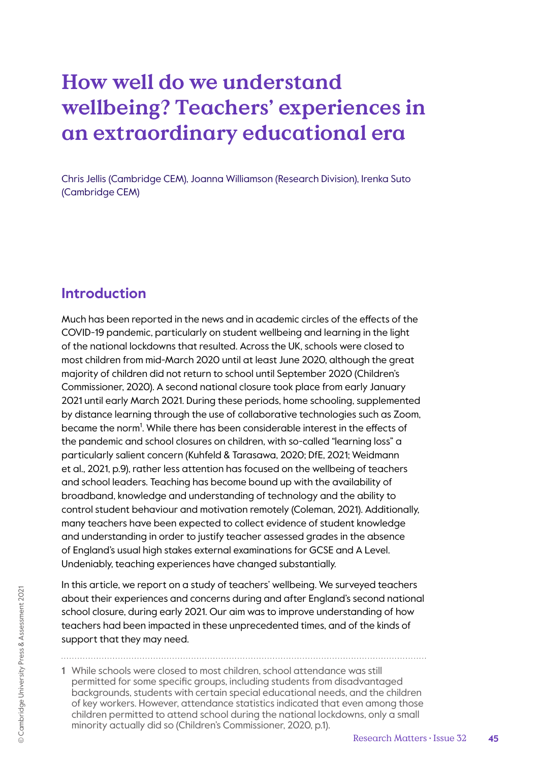# **How well do we understand wellbeing? Teachers' experiences in an extraordinary educational era**

Chris Jellis (Cambridge CEM), Joanna Williamson (Research Division), Irenka Suto (Cambridge CEM)

# **Introduction**

Much has been reported in the news and in academic circles of the effects of the COVID-19 pandemic, particularly on student wellbeing and learning in the light of the national lockdowns that resulted. Across the UK, schools were closed to most children from mid-March 2020 until at least June 2020, although the great majority of children did not return to school until September 2020 (Children's Commissioner, 2020). A second national closure took place from early January 2021 until early March 2021. During these periods, home schooling, supplemented by distance learning through the use of collaborative technologies such as Zoom, became the norm<sup>1</sup>. While there has been considerable interest in the effects of the pandemic and school closures on children, with so-called "learning loss" a particularly salient concern (Kuhfeld & Tarasawa, 2020; DfE, 2021; Weidmann et al., 2021, p.9), rather less attention has focused on the wellbeing of teachers and school leaders. Teaching has become bound up with the availability of broadband, knowledge and understanding of technology and the ability to control student behaviour and motivation remotely (Coleman, 2021). Additionally, many teachers have been expected to collect evidence of student knowledge and understanding in order to justify teacher assessed grades in the absence of England's usual high stakes external examinations for GCSE and A Level. Undeniably, teaching experiences have changed substantially.

In this article, we report on a study of teachers' wellbeing. We surveyed teachers about their experiences and concerns during and after England's second national school closure, during early 2021. Our aim was to improve understanding of how teachers had been impacted in these unprecedented times, and of the kinds of support that they may need.

1 While schools were closed to most children, school attendance was still permitted for some specific groups, including students from disadvantaged backgrounds, students with certain special educational needs, and the children of key workers. However, attendance statistics indicated that even among those children permitted to attend school during the national lockdowns, only a small minority actually did so (Children's Commissioner, 2020, p.1).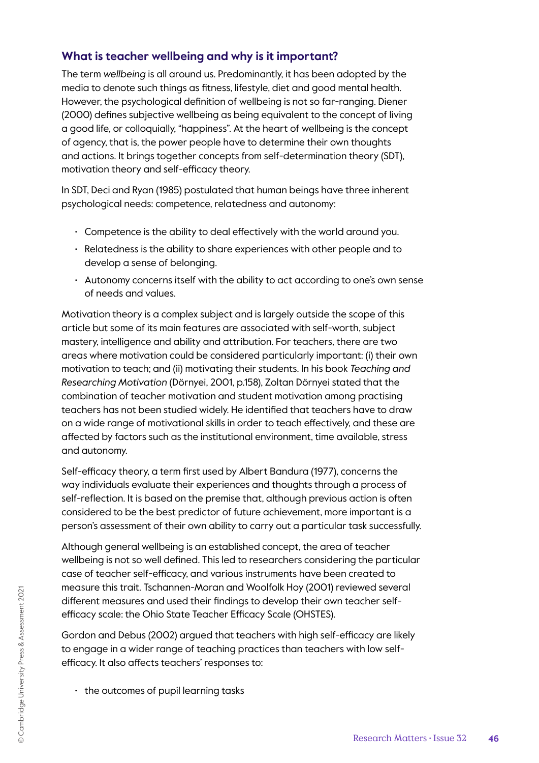## **What is teacher wellbeing and why is it important?**

The term *wellbeing* is all around us. Predominantly, it has been adopted by the media to denote such things as fitness, lifestyle, diet and good mental health. However, the psychological definition of wellbeing is not so far-ranging. Diener (2000) defines subjective wellbeing as being equivalent to the concept of living a good life, or colloquially, "happiness". At the heart of wellbeing is the concept of agency, that is, the power people have to determine their own thoughts and actions. It brings together concepts from self-determination theory (SDT), motivation theory and self-efficacy theory.

In SDT, Deci and Ryan (1985) postulated that human beings have three inherent psychological needs: competence, relatedness and autonomy:

- Competence is the ability to deal effectively with the world around you.
- Relatedness is the ability to share experiences with other people and to develop a sense of belonging.
- Autonomy concerns itself with the ability to act according to one's own sense of needs and values.

Motivation theory is a complex subject and is largely outside the scope of this article but some of its main features are associated with self-worth, subject mastery, intelligence and ability and attribution. For teachers, there are two areas where motivation could be considered particularly important: (i) their own motivation to teach; and (ii) motivating their students. In his book *Teaching and Researching Motivation* (Dörnyei, 2001, p.158), Zoltan Dörnyei stated that the combination of teacher motivation and student motivation among practising teachers has not been studied widely. He identified that teachers have to draw on a wide range of motivational skills in order to teach effectively, and these are affected by factors such as the institutional environment, time available, stress and autonomy.

Self-efficacy theory, a term first used by Albert Bandura (1977), concerns the way individuals evaluate their experiences and thoughts through a process of self-reflection. It is based on the premise that, although previous action is often considered to be the best predictor of future achievement, more important is a person's assessment of their own ability to carry out a particular task successfully.

Although general wellbeing is an established concept, the area of teacher wellbeing is not so well defined. This led to researchers considering the particular case of teacher self-efficacy, and various instruments have been created to measure this trait. Tschannen-Moran and Woolfolk Hoy (2001) reviewed several different measures and used their findings to develop their own teacher selfefficacy scale: the Ohio State Teacher Efficacy Scale (OHSTES).

Gordon and Debus (2002) argued that teachers with high self-efficacy are likely to engage in a wider range of teaching practices than teachers with low selfefficacy. It also affects teachers' responses to:

• the outcomes of pupil learning tasks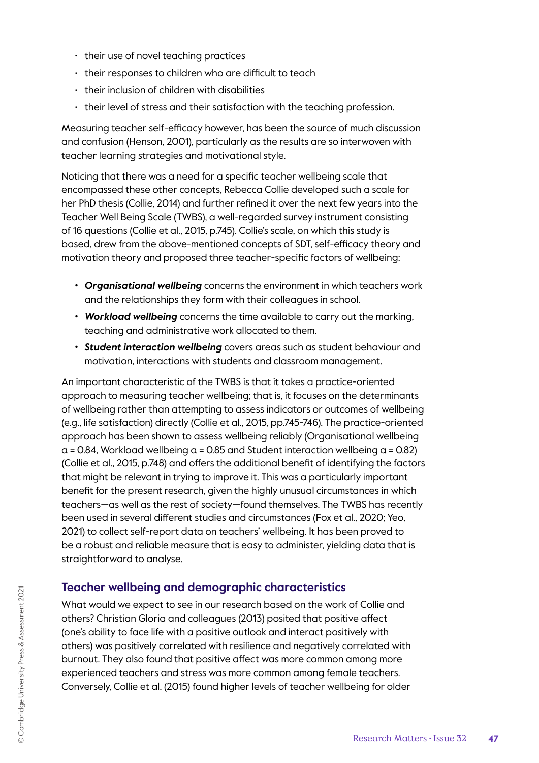- their use of novel teaching practices
- their responses to children who are difficult to teach
- their inclusion of children with disabilities
- their level of stress and their satisfaction with the teaching profession.

Measuring teacher self-efficacy however, has been the source of much discussion and confusion (Henson, 2001), particularly as the results are so interwoven with teacher learning strategies and motivational style.

Noticing that there was a need for a specific teacher wellbeing scale that encompassed these other concepts, Rebecca Collie developed such a scale for her PhD thesis (Collie, 2014) and further refined it over the next few years into the Teacher Well Being Scale (TWBS), a well-regarded survey instrument consisting of 16 questions (Collie et al., 2015, p.745). Collie's scale, on which this study is based, drew from the above-mentioned concepts of SDT, self-efficacy theory and motivation theory and proposed three teacher-specific factors of wellbeing:

- *• Organisational wellbeing* concerns the environment in which teachers work and the relationships they form with their colleagues in school.
- *• Workload wellbeing* concerns the time available to carry out the marking, teaching and administrative work allocated to them.
- *• Student interaction wellbeing* covers areas such as student behaviour and motivation, interactions with students and classroom management.

An important characteristic of the TWBS is that it takes a practice-oriented approach to measuring teacher wellbeing; that is, it focuses on the determinants of wellbeing rather than attempting to assess indicators or outcomes of wellbeing (e.g., life satisfaction) directly (Collie et al., 2015, pp.745-746). The practice-oriented approach has been shown to assess wellbeing reliably (Organisational wellbeing  $a = 0.84$ , Workload wellbeing  $a = 0.85$  and Student interaction wellbeing  $a = 0.82$ ) (Collie et al., 2015, p.748) and offers the additional benefit of identifying the factors that might be relevant in trying to improve it. This was a particularly important benefit for the present research, given the highly unusual circumstances in which teachers—as well as the rest of society—found themselves. The TWBS has recently been used in several different studies and circumstances (Fox et al., 2020; Yeo, 2021) to collect self-report data on teachers' wellbeing. It has been proved to be a robust and reliable measure that is easy to administer, yielding data that is straightforward to analyse.

### **Teacher wellbeing and demographic characteristics**

What would we expect to see in our research based on the work of Collie and others? Christian Gloria and colleagues (2013) posited that positive affect (one's ability to face life with a positive outlook and interact positively with others) was positively correlated with resilience and negatively correlated with burnout. They also found that positive affect was more common among more experienced teachers and stress was more common among female teachers. Conversely, Collie et al. (2015) found higher levels of teacher wellbeing for older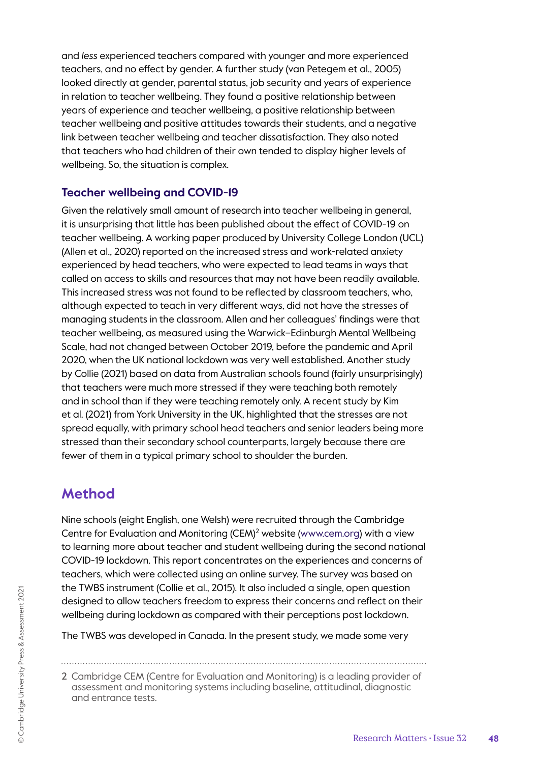and *less* experienced teachers compared with younger and more experienced teachers, and no effect by gender. A further study (van Petegem et al., 2005) looked directly at gender, parental status, job security and years of experience in relation to teacher wellbeing. They found a positive relationship between years of experience and teacher wellbeing, a positive relationship between teacher wellbeing and positive attitudes towards their students, and a negative link between teacher wellbeing and teacher dissatisfaction. They also noted that teachers who had children of their own tended to display higher levels of wellbeing. So, the situation is complex.

### **Teacher wellbeing and COVID-19**

Given the relatively small amount of research into teacher wellbeing in general, it is unsurprising that little has been published about the effect of COVID-19 on teacher wellbeing. A working paper produced by University College London (UCL) (Allen et al., 2020) reported on the increased stress and work-related anxiety experienced by head teachers, who were expected to lead teams in ways that called on access to skills and resources that may not have been readily available. This increased stress was not found to be reflected by classroom teachers, who, although expected to teach in very different ways, did not have the stresses of managing students in the classroom. Allen and her colleagues' findings were that teacher wellbeing, as measured using the Warwick–Edinburgh Mental Wellbeing Scale, had not changed between October 2019, before the pandemic and April 2020, when the UK national lockdown was very well established. Another study by Collie (2021) based on data from Australian schools found (fairly unsurprisingly) that teachers were much more stressed if they were teaching both remotely and in school than if they were teaching remotely only. A recent study by Kim et al. (2021) from York University in the UK, highlighted that the stresses are not spread equally, with primary school head teachers and senior leaders being more stressed than their secondary school counterparts, largely because there are fewer of them in a typical primary school to shoulder the burden.

# **Method**

Nine schools (eight English, one Welsh) were recruited through the Cambridge Centre for Evaluation and Monitoring (CEM)<sup>2</sup> website (www.cem.org) with a view to learning more about teacher and student wellbeing during the second national COVID-19 lockdown. This report concentrates on the experiences and concerns of teachers, which were collected using an online survey. The survey was based on the TWBS instrument (Collie et al., 2015). It also included a single, open question designed to allow teachers freedom to express their concerns and reflect on their wellbeing during lockdown as compared with their perceptions post lockdown.

The TWBS was developed in Canada. In the present study, we made some very

<sup>2</sup> Cambridge CEM (Centre for Evaluation and Monitoring) is a leading provider of assessment and monitoring systems including baseline, attitudinal, diagnostic and entrance tests.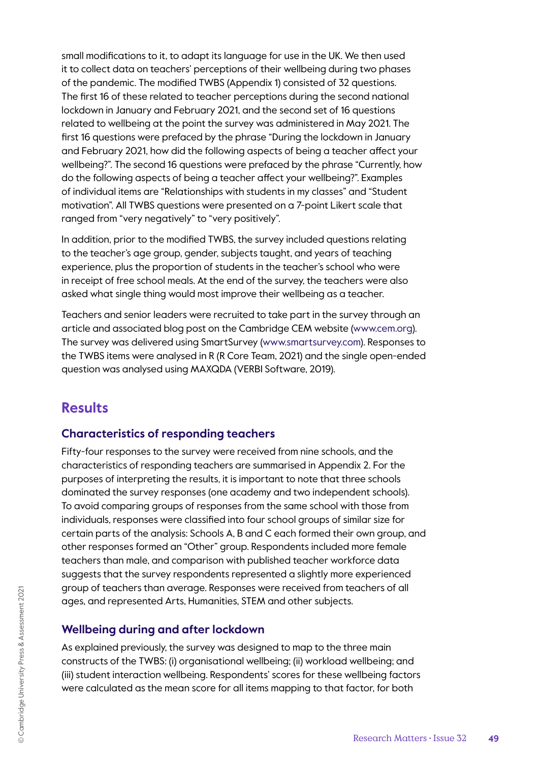small modifications to it, to adapt its language for use in the UK. We then used it to collect data on teachers' perceptions of their wellbeing during two phases of the pandemic. The modified TWBS (Appendix 1) consisted of 32 questions. The first 16 of these related to teacher perceptions during the second national lockdown in January and February 2021, and the second set of 16 questions related to wellbeing at the point the survey was administered in May 2021. The first 16 questions were prefaced by the phrase "During the lockdown in January and February 2021, how did the following aspects of being a teacher affect your wellbeing?". The second 16 questions were prefaced by the phrase "Currently, how do the following aspects of being a teacher affect your wellbeing?". Examples of individual items are "Relationships with students in my classes" and "Student motivation". All TWBS questions were presented on a 7-point Likert scale that ranged from "very negatively" to "very positively".

In addition, prior to the modified TWBS, the survey included questions relating to the teacher's age group, gender, subjects taught, and years of teaching experience, plus the proportion of students in the teacher's school who were in receipt of free school meals. At the end of the survey, the teachers were also asked what single thing would most improve their wellbeing as a teacher.

Teachers and senior leaders were recruited to take part in the survey through an article and associated blog post on the Cambridge CEM website (www.cem.org). The survey was delivered using SmartSurvey (www.smartsurvey.com). Responses to the TWBS items were analysed in R (R Core Team, 2021) and the single open-ended question was analysed using MAXQDA (VERBI Software, 2019).

# **Results**

### **Characteristics of responding teachers**

Fifty-four responses to the survey were received from nine schools, and the characteristics of responding teachers are summarised in Appendix 2. For the purposes of interpreting the results, it is important to note that three schools dominated the survey responses (one academy and two independent schools). To avoid comparing groups of responses from the same school with those from individuals, responses were classified into four school groups of similar size for certain parts of the analysis: Schools A, B and C each formed their own group, and other responses formed an "Other" group. Respondents included more female teachers than male, and comparison with published teacher workforce data suggests that the survey respondents represented a slightly more experienced group of teachers than average. Responses were received from teachers of all ages, and represented Arts, Humanities, STEM and other subjects.

# **Wellbeing during and after lockdown**

As explained previously, the survey was designed to map to the three main constructs of the TWBS: (i) organisational wellbeing; (ii) workload wellbeing; and (iii) student interaction wellbeing. Respondents' scores for these wellbeing factors were calculated as the mean score for all items mapping to that factor, for both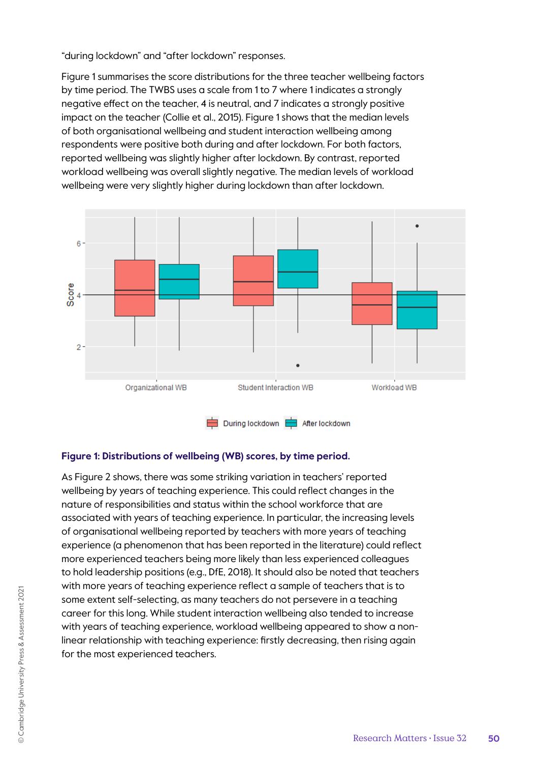"during lockdown" and "after lockdown" responses.

Figure 1 summarises the score distributions for the three teacher wellbeing factors by time period. The TWBS uses a scale from 1 to 7 where 1 indicates a strongly negative effect on the teacher, 4 is neutral, and 7 indicates a strongly positive impact on the teacher (Collie et al., 2015). Figure 1 shows that the median levels of both organisational wellbeing and student interaction wellbeing among respondents were positive both during and after lockdown. For both factors, reported wellbeing was slightly higher after lockdown. By contrast, reported workload wellbeing was overall slightly negative. The median levels of workload wellbeing were very slightly higher during lockdown than after lockdown.



#### **Figure 1: Distributions of wellbeing (WB) scores, by time period.**

As Figure 2 shows, there was some striking variation in teachers' reported wellbeing by years of teaching experience. This could reflect changes in the nature of responsibilities and status within the school workforce that are associated with years of teaching experience. In particular, the increasing levels of organisational wellbeing reported by teachers with more years of teaching experience (a phenomenon that has been reported in the literature) could reflect more experienced teachers being more likely than less experienced colleagues to hold leadership positions (e.g., DfE, 2018). It should also be noted that teachers with more years of teaching experience reflect a sample of teachers that is to some extent self-selecting, as many teachers do not persevere in a teaching career for this long. While student interaction wellbeing also tended to increase with years of teaching experience, workload wellbeing appeared to show a nonlinear relationship with teaching experience: firstly decreasing, then rising again for the most experienced teachers.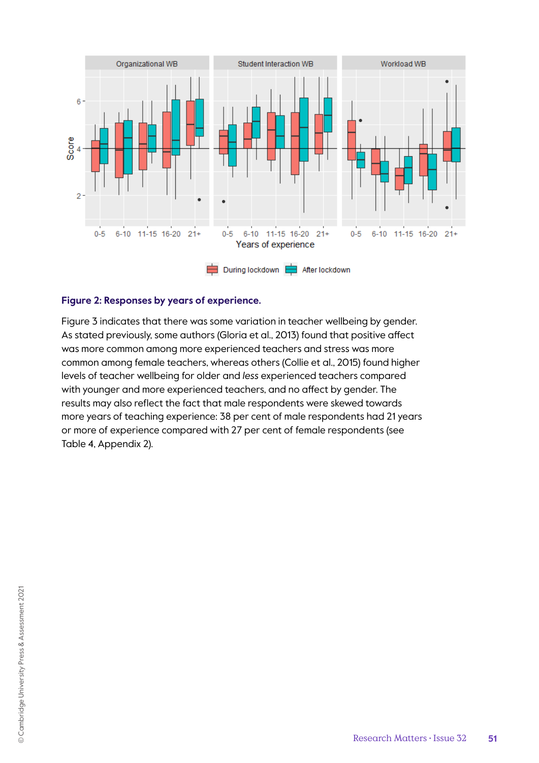

#### **Figure 2: Responses by years of experience.**

Figure 3 indicates that there was some variation in teacher wellbeing by gender. As stated previously, some authors (Gloria et al., 2013) found that positive affect was more common among more experienced teachers and stress was more common among female teachers, whereas others (Collie et al., 2015) found higher levels of teacher wellbeing for older and *less* experienced teachers compared with younger and more experienced teachers, and no affect by gender. The results may also reflect the fact that male respondents were skewed towards more years of teaching experience: 38 per cent of male respondents had 21 years or more of experience compared with 27 per cent of female respondents (see Table 4, Appendix 2).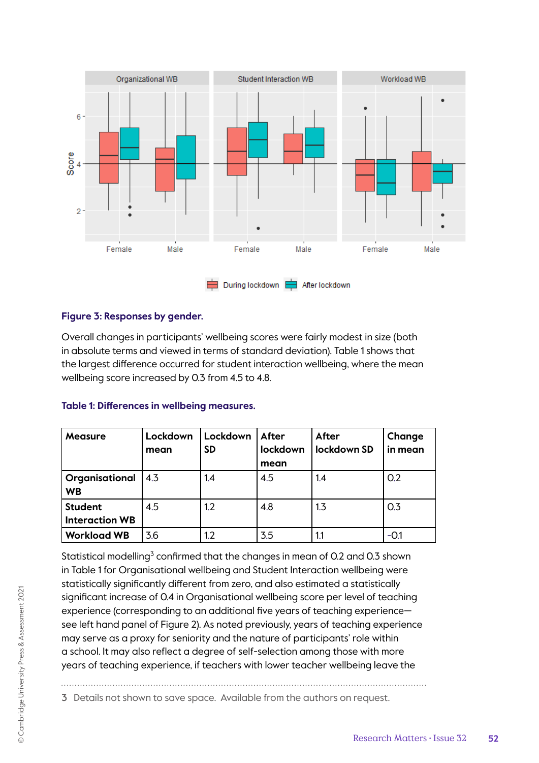

#### **Figure 3: Responses by gender.**

Overall changes in participants' wellbeing scores were fairly modest in size (both in absolute terms and viewed in terms of standard deviation). Table 1 shows that the largest difference occurred for student interaction wellbeing, where the mean wellbeing score increased by 0.3 from 4.5 to 4.8.

| Measure                                 | Lockdown<br>mean | Lockdown<br><b>SD</b> | After<br>lockdown | After<br>lockdown SD | Change<br>in mean |
|-----------------------------------------|------------------|-----------------------|-------------------|----------------------|-------------------|
|                                         |                  |                       | mean              |                      |                   |
| Organisational<br><b>WB</b>             | 4.3              | 1.4                   | 4.5               | 1.4                  | O.2               |
| <b>Student</b><br><b>Interaction WB</b> | 4.5              | 1.2                   | 4.8               | 1.3                  | 0.3               |
| <b>Workload WB</b>                      | 3.6              | 1.2                   | 3.5               | 1.1                  | -0.1              |

#### **Table 1: Differences in wellbeing measures.**

Statistical modelling $^3$  confirmed that the changes in mean of 0.2 and 0.3 shown in Table 1 for Organisational wellbeing and Student Interaction wellbeing were statistically significantly different from zero, and also estimated a statistically significant increase of 0.4 in Organisational wellbeing score per level of teaching experience (corresponding to an additional five years of teaching experience see left hand panel of Figure 2). As noted previously, years of teaching experience may serve as a proxy for seniority and the nature of participants' role within a school. It may also reflect a degree of self-selection among those with more years of teaching experience, if teachers with lower teacher wellbeing leave the

3 Details not shown to save space. Available from the authors on request.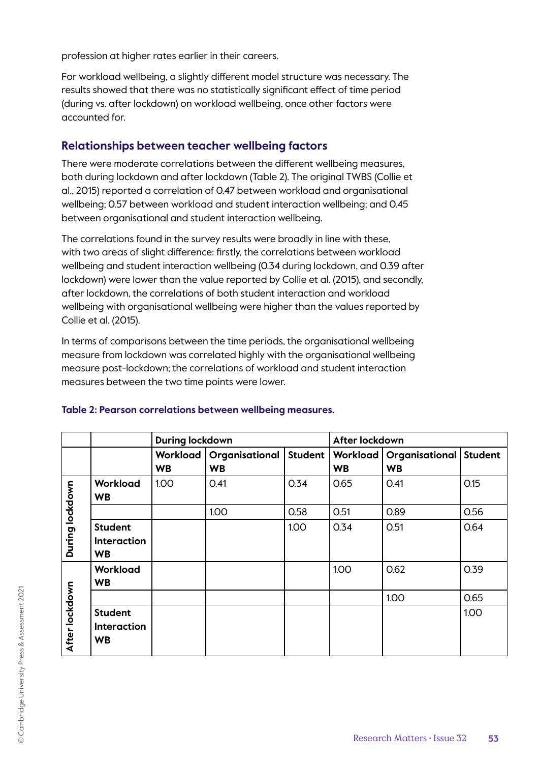profession at higher rates earlier in their careers.

For workload wellbeing, a slightly different model structure was necessary. The results showed that there was no statistically significant effect of time period (during vs. after lockdown) on workload wellbeing, once other factors were accounted for.

### **Relationships between teacher wellbeing factors**

There were moderate correlations between the different wellbeing measures, both during lockdown and after lockdown (Table 2). The original TWBS (Collie et al., 2015) reported a correlation of 0.47 between workload and organisational wellbeing; 0.57 between workload and student interaction wellbeing; and 0.45 between organisational and student interaction wellbeing.

The correlations found in the survey results were broadly in line with these, with two areas of slight difference: firstly, the correlations between workload wellbeing and student interaction wellbeing (0.34 during lockdown, and 0.39 after lockdown) were lower than the value reported by Collie et al. (2015), and secondly, after lockdown, the correlations of both student interaction and workload wellbeing with organisational wellbeing were higher than the values reported by Collie et al. (2015).

In terms of comparisons between the time periods, the organisational wellbeing measure from lockdown was correlated highly with the organisational wellbeing measure post-lockdown; the correlations of workload and student interaction measures between the two time points were lower.

|                 |                                                   | <b>During lockdown</b> |                             |         | After lockdown        |                                    |                |
|-----------------|---------------------------------------------------|------------------------|-----------------------------|---------|-----------------------|------------------------------------|----------------|
|                 |                                                   | Workload<br><b>WB</b>  | Organisational<br><b>WB</b> | Student | Workload<br><b>WB</b> | <b>Organisational</b><br><b>WB</b> | <b>Student</b> |
|                 | Workload<br><b>WB</b>                             | 1.00                   | 0.41                        | 0.34    | 0.65                  | 0.41                               | O.15           |
|                 |                                                   |                        | 1.00                        | 0.58    | 0.51                  | <b>0.89</b>                        | 0.56           |
| During lockdown | <b>Student</b><br><b>Interaction</b><br><b>WB</b> |                        |                             | 1.00    | 0.34                  | 0.51                               | 0.64           |
| After lockdown  | Workload<br><b>WB</b>                             |                        |                             |         | 1.00                  | 0.62                               | 0.39           |
|                 |                                                   |                        |                             |         |                       | 1.00                               | 0.65           |
|                 | <b>Student</b><br><b>Interaction</b><br><b>WB</b> |                        |                             |         |                       |                                    | 1.00           |

#### **Table 2: Pearson correlations between wellbeing measures.**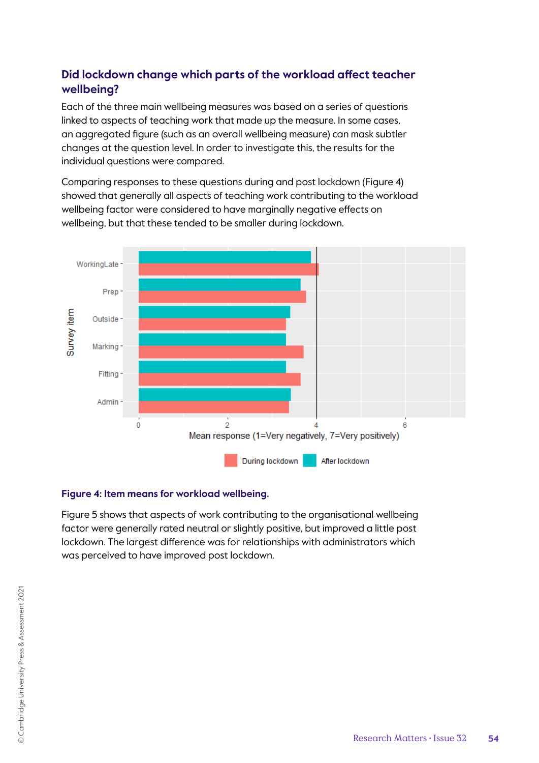# **Did lockdown change which parts of the workload affect teacher wellbeing?**

Each of the three main wellbeing measures was based on a series of questions linked to aspects of teaching work that made up the measure. In some cases, an aggregated figure (such as an overall wellbeing measure) can mask subtler changes at the question level. In order to investigate this, the results for the individual questions were compared.

Comparing responses to these questions during and post lockdown (Figure 4) showed that generally all aspects of teaching work contributing to the workload wellbeing factor were considered to have marginally negative effects on wellbeing, but that these tended to be smaller during lockdown.



#### **Figure 4: Item means for workload wellbeing.**

Figure 5 shows that aspects of work contributing to the organisational wellbeing factor were generally rated neutral or slightly positive, but improved a little post lockdown. The largest difference was for relationships with administrators which was perceived to have improved post lockdown.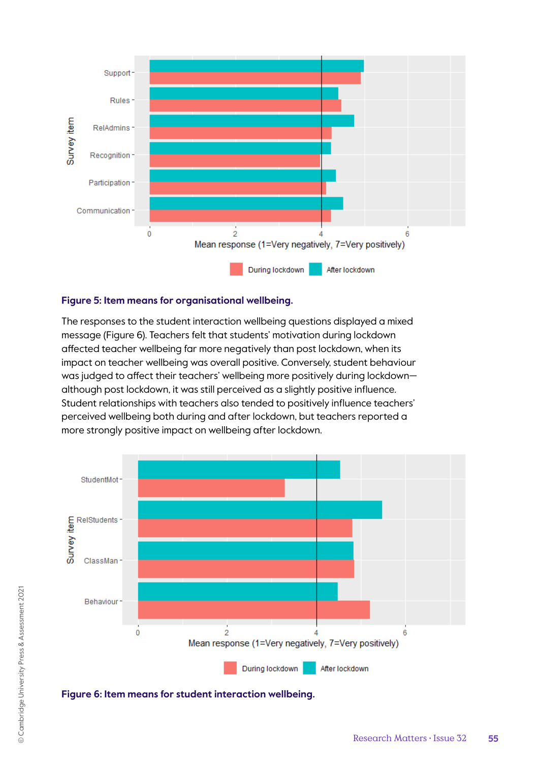

#### **Figure 5: Item means for organisational wellbeing.**

The responses to the student interaction wellbeing questions displayed a mixed message (Figure 6). Teachers felt that students' motivation during lockdown affected teacher wellbeing far more negatively than post lockdown, when its impact on teacher wellbeing was overall positive. Conversely, student behaviour was judged to affect their teachers' wellbeing more positively during lockdown although post lockdown, it was still perceived as a slightly positive influence. Student relationships with teachers also tended to positively influence teachers' perceived wellbeing both during and after lockdown, but teachers reported a more strongly positive impact on wellbeing after lockdown.



**Figure 6: Item means for student interaction wellbeing.**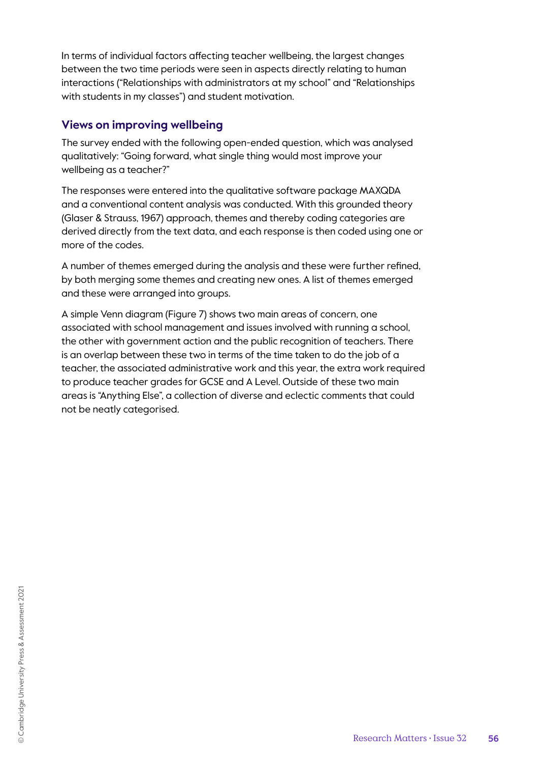In terms of individual factors affecting teacher wellbeing, the largest changes between the two time periods were seen in aspects directly relating to human interactions ("Relationships with administrators at my school" and "Relationships with students in my classes") and student motivation.

### **Views on improving wellbeing**

The survey ended with the following open-ended question, which was analysed qualitatively: "Going forward, what single thing would most improve your wellbeing as a teacher?"

The responses were entered into the qualitative software package MAXQDA and a conventional content analysis was conducted. With this grounded theory (Glaser & Strauss, 1967) approach, themes and thereby coding categories are derived directly from the text data, and each response is then coded using one or more of the codes.

A number of themes emerged during the analysis and these were further refined, by both merging some themes and creating new ones. A list of themes emerged and these were arranged into groups.

A simple Venn diagram (Figure 7) shows two main areas of concern, one associated with school management and issues involved with running a school, the other with government action and the public recognition of teachers. There is an overlap between these two in terms of the time taken to do the job of a teacher, the associated administrative work and this year, the extra work required to produce teacher grades for GCSE and A Level. Outside of these two main areas is "Anything Else", a collection of diverse and eclectic comments that could not be neatly categorised.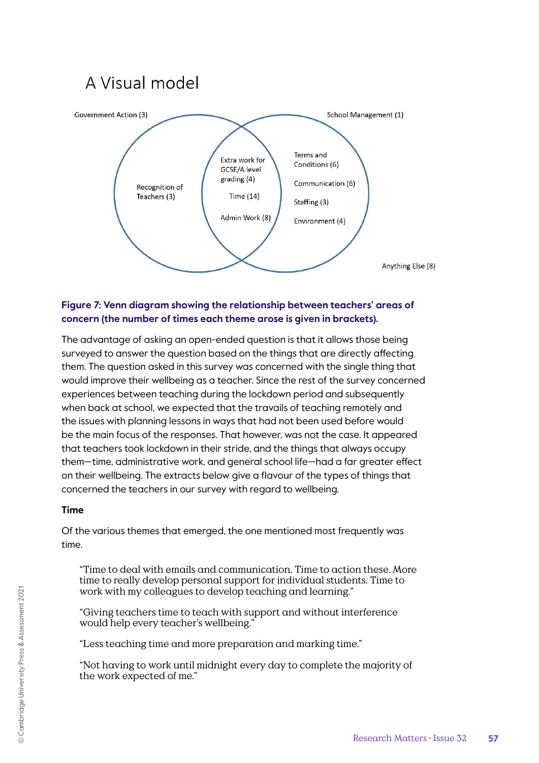

#### **Figure 7: Venn diagram showing the relationship between teachers' areas of concern (the number of times each theme arose is given in brackets).**

The advantage of asking an open-ended question is that it allows those being surveyed to answer the question based on the things that are directly affecting them. The question asked in this survey was concerned with the single thing that would improve their wellbeing as a teacher. Since the rest of the survey concerned experiences between teaching during the lockdown period and subsequently when back at school, we expected that the travails of teaching remotely and the issues with planning lessons in ways that had not been used before would be the main focus of the responses. That however, was not the case. It appeared that teachers took lockdown in their stride, and the things that always occupy them—time, administrative work, and general school life—had a far greater effect on their wellbeing. The extracts below give a flavour of the types of things that concerned the teachers in our survey with regard to wellbeing.

#### **Time**

Of the various themes that emerged, the one mentioned most frequently was time.

"Time to deal with emails and communication. Time to action these. More time to really develop personal support for individual students. Time to work with my colleagues to develop teaching and learning."

"Giving teachers time to teach with support and without interference would help every teacher's wellbeing."

"Less teaching time and more preparation and marking time."

"Not having to work until midnight every day to complete the majority of the work expected of me."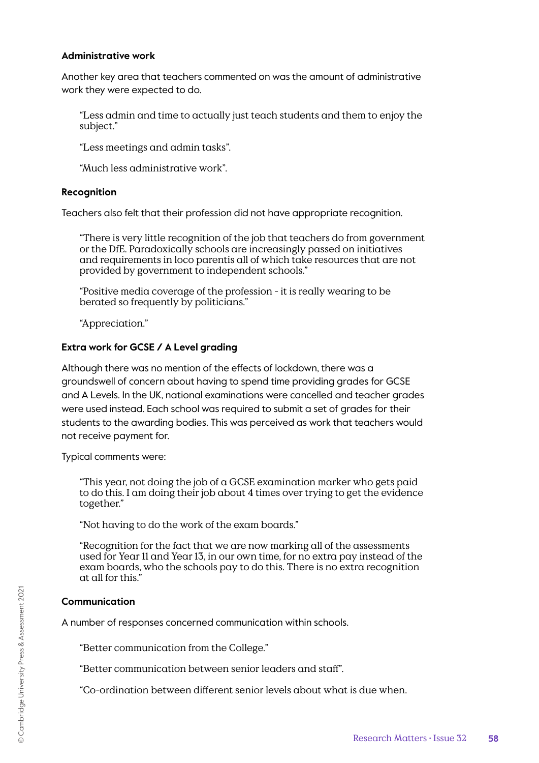#### **Administrative work**

Another key area that teachers commented on was the amount of administrative work they were expected to do.

"Less admin and time to actually just teach students and them to enjoy the subject."

"Less meetings and admin tasks".

"Much less administrative work".

#### **Recognition**

Teachers also felt that their profession did not have appropriate recognition.

"There is very little recognition of the job that teachers do from government or the DfE. Paradoxically schools are increasingly passed on initiatives and requirements in loco parentis all of which take resources that are not provided by government to independent schools."

"Positive media coverage of the profession - it is really wearing to be berated so frequently by politicians."

"Appreciation."

#### **Extra work for GCSE / A Level grading**

Although there was no mention of the effects of lockdown, there was a groundswell of concern about having to spend time providing grades for GCSE and A Levels. In the UK, national examinations were cancelled and teacher grades were used instead. Each school was required to submit a set of grades for their students to the awarding bodies. This was perceived as work that teachers would not receive payment for.

Typical comments were:

"This year, not doing the job of a GCSE examination marker who gets paid to do this. I am doing their job about 4 times over trying to get the evidence together."

"Not having to do the work of the exam boards."

"Recognition for the fact that we are now marking all of the assessments used for Year 11 and Year 13, in our own time, for no extra pay instead of the exam boards, who the schools pay to do this. There is no extra recognition at all for this."

#### **Communication**

A number of responses concerned communication within schools.

"Better communication from the College."

"Better communication between senior leaders and staff".

"Co-ordination between different senior levels about what is due when.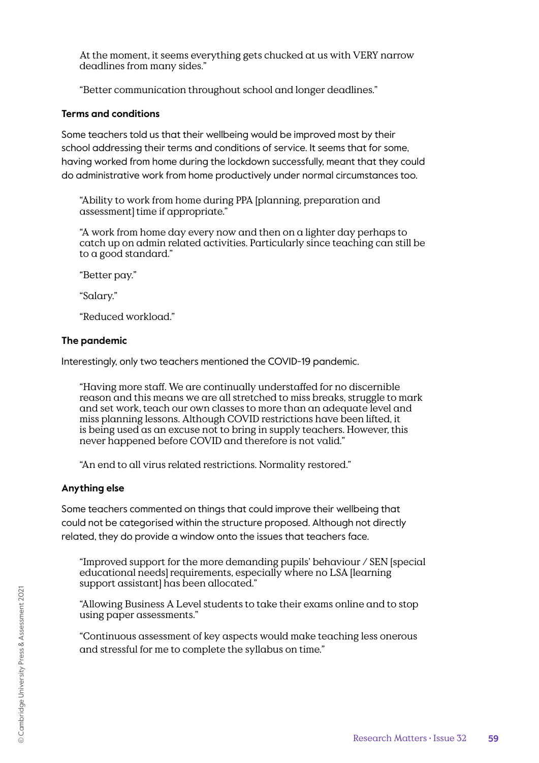At the moment, it seems everything gets chucked at us with VERY narrow deadlines from many sides."

"Better communication throughout school and longer deadlines."

#### **Terms and conditions**

Some teachers told us that their wellbeing would be improved most by their school addressing their terms and conditions of service. It seems that for some, having worked from home during the lockdown successfully, meant that they could do administrative work from home productively under normal circumstances too.

"Ability to work from home during PPA [planning, preparation and assessment] time if appropriate."

"A work from home day every now and then on a lighter day perhaps to catch up on admin related activities. Particularly since teaching can still be to a good standard."

"Better pay."

"Salary."

"Reduced workload."

#### **The pandemic**

Interestingly, only two teachers mentioned the COVID-19 pandemic.

"Having more staff. We are continually understaffed for no discernible reason and this means we are all stretched to miss breaks, struggle to mark and set work, teach our own classes to more than an adequate level and miss planning lessons. Although COVID restrictions have been lifted, it is being used as an excuse not to bring in supply teachers. However, this never happened before COVID and therefore is not valid."

"An end to all virus related restrictions. Normality restored."

#### **Anything else**

Some teachers commented on things that could improve their wellbeing that could not be categorised within the structure proposed. Although not directly related, they do provide a window onto the issues that teachers face.

"Improved support for the more demanding pupils' behaviour / SEN [special educational needs] requirements, especially where no LSA [learning support assistant] has been allocated."

"Allowing Business A Level students to take their exams online and to stop using paper assessments."

"Continuous assessment of key aspects would make teaching less onerous and stressful for me to complete the syllabus on time."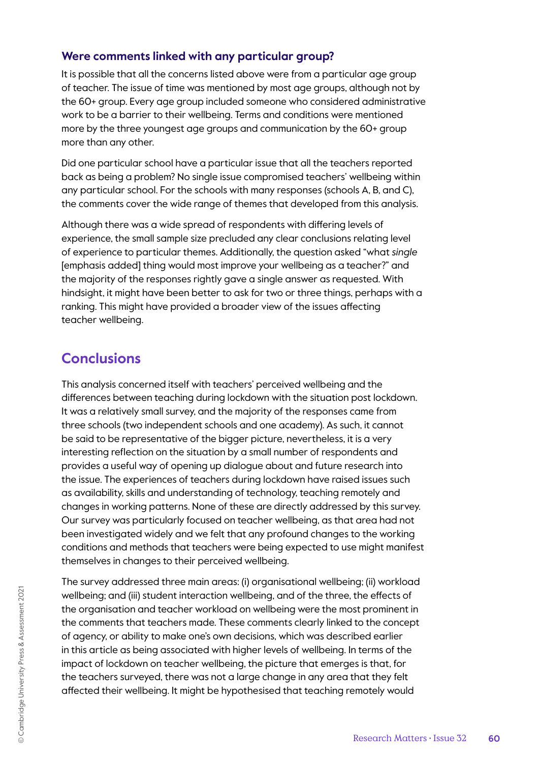### **Were comments linked with any particular group?**

It is possible that all the concerns listed above were from a particular age group of teacher. The issue of time was mentioned by most age groups, although not by the 60+ group. Every age group included someone who considered administrative work to be a barrier to their wellbeing. Terms and conditions were mentioned more by the three youngest age groups and communication by the 60+ group more than any other.

Did one particular school have a particular issue that all the teachers reported back as being a problem? No single issue compromised teachers' wellbeing within any particular school. For the schools with many responses (schools A, B, and C), the comments cover the wide range of themes that developed from this analysis.

Although there was a wide spread of respondents with differing levels of experience, the small sample size precluded any clear conclusions relating level of experience to particular themes. Additionally, the question asked "what *single*  [emphasis added] thing would most improve your wellbeing as a teacher?" and the majority of the responses rightly gave a single answer as requested. With hindsight, it might have been better to ask for two or three things, perhaps with a ranking. This might have provided a broader view of the issues affecting teacher wellbeing.

# **Conclusions**

This analysis concerned itself with teachers' perceived wellbeing and the differences between teaching during lockdown with the situation post lockdown. It was a relatively small survey, and the majority of the responses came from three schools (two independent schools and one academy). As such, it cannot be said to be representative of the bigger picture, nevertheless, it is a very interesting reflection on the situation by a small number of respondents and provides a useful way of opening up dialogue about and future research into the issue. The experiences of teachers during lockdown have raised issues such as availability, skills and understanding of technology, teaching remotely and changes in working patterns. None of these are directly addressed by this survey. Our survey was particularly focused on teacher wellbeing, as that area had not been investigated widely and we felt that any profound changes to the working conditions and methods that teachers were being expected to use might manifest themselves in changes to their perceived wellbeing.

The survey addressed three main areas: (i) organisational wellbeing; (ii) workload wellbeing; and (iii) student interaction wellbeing, and of the three, the effects of the organisation and teacher workload on wellbeing were the most prominent in the comments that teachers made. These comments clearly linked to the concept of agency, or ability to make one's own decisions, which was described earlier in this article as being associated with higher levels of wellbeing. In terms of the impact of lockdown on teacher wellbeing, the picture that emerges is that, for the teachers surveyed, there was not a large change in any area that they felt affected their wellbeing. It might be hypothesised that teaching remotely would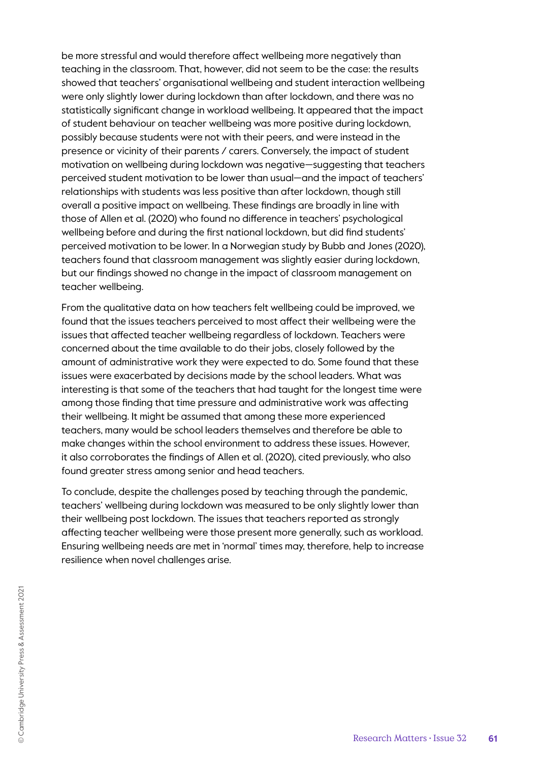be more stressful and would therefore affect wellbeing more negatively than teaching in the classroom. That, however, did not seem to be the case: the results showed that teachers' organisational wellbeing and student interaction wellbeing were only slightly lower during lockdown than after lockdown, and there was no statistically significant change in workload wellbeing. It appeared that the impact of student behaviour on teacher wellbeing was more positive during lockdown, possibly because students were not with their peers, and were instead in the presence or vicinity of their parents / carers. Conversely, the impact of student motivation on wellbeing during lockdown was negative—suggesting that teachers perceived student motivation to be lower than usual—and the impact of teachers' relationships with students was less positive than after lockdown, though still overall a positive impact on wellbeing. These findings are broadly in line with those of Allen et al. (2020) who found no difference in teachers' psychological wellbeing before and during the first national lockdown, but did find students' perceived motivation to be lower. In a Norwegian study by Bubb and Jones (2020), teachers found that classroom management was slightly easier during lockdown, but our findings showed no change in the impact of classroom management on teacher wellbeing.

From the qualitative data on how teachers felt wellbeing could be improved, we found that the issues teachers perceived to most affect their wellbeing were the issues that affected teacher wellbeing regardless of lockdown. Teachers were concerned about the time available to do their jobs, closely followed by the amount of administrative work they were expected to do. Some found that these issues were exacerbated by decisions made by the school leaders. What was interesting is that some of the teachers that had taught for the longest time were among those finding that time pressure and administrative work was affecting their wellbeing. It might be assumed that among these more experienced teachers, many would be school leaders themselves and therefore be able to make changes within the school environment to address these issues. However, it also corroborates the findings of Allen et al. (2020), cited previously, who also found greater stress among senior and head teachers.

To conclude, despite the challenges posed by teaching through the pandemic, teachers' wellbeing during lockdown was measured to be only slightly lower than their wellbeing post lockdown. The issues that teachers reported as strongly affecting teacher wellbeing were those present more generally, such as workload. Ensuring wellbeing needs are met in 'normal' times may, therefore, help to increase resilience when novel challenges arise.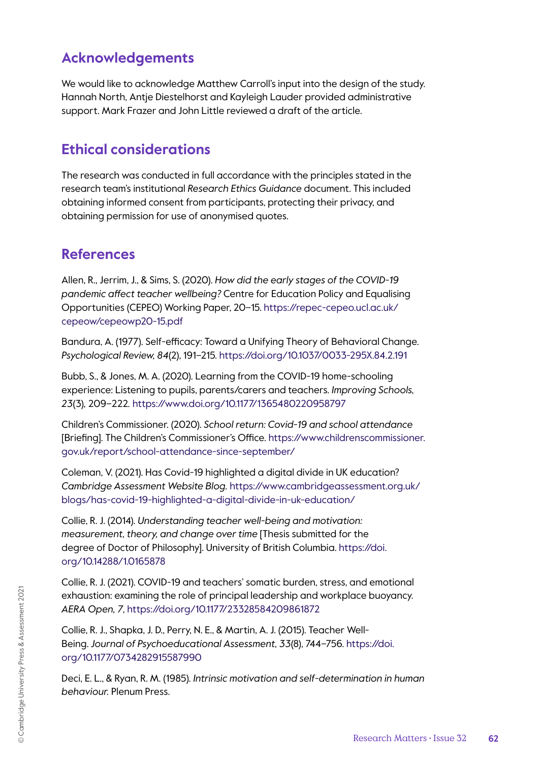# **Acknowledgements**

We would like to acknowledge Matthew Carroll's input into the design of the study. Hannah North, Antje Diestelhorst and Kayleigh Lauder provided administrative support. Mark Frazer and John Little reviewed a draft of the article.

# **Ethical considerations**

The research was conducted in full accordance with the principles stated in the research team's institutional *Research Ethics Guidance* document. This included obtaining informed consent from participants, protecting their privacy, and obtaining permission for use of anonymised quotes.

# **References**

Allen, R., Jerrim, J., & Sims, S. (2020). *How did the early stages of the COVID-19 pandemic affect teacher wellbeing?* Centre for Education Policy and Equalising Opportunities (CEPEO) Working Paper, 20–15. https://repec-cepeo.ucl.ac.uk/ cepeow/cepeowp20-15.pdf

Bandura, A. (1977). Self-efficacy: Toward a Unifying Theory of Behavioral Change. *Psychological Review, 84*(2), 191–215. https://doi.org/10.1037/0033-295X.84.2.191

Bubb, S., & Jones, M. A. (2020). Learning from the COVID-19 home-schooling experience: Listening to pupils, parents/carers and teachers. *Improving Schools, 23*(3)*,* 209*–*222*.* https://www.doi.org/10.1177/1365480220958797

Children's Commissioner. (2020). *School return: Covid-19 and school attendance*  [Briefing]. The Children's Commissioner's Office. https://www.childrenscommissioner. gov.uk/report/school-attendance-since-september/

Coleman, V. (2021). Has Covid-19 highlighted a digital divide in UK education? *Cambridge Assessment Website Blog.* https://www.cambridgeassessment.org.uk/ blogs/has-covid-19-highlighted-a-digital-divide-in-uk-education/

Collie, R. J. (2014). *Understanding teacher well-being and motivation: measurement, theory, and change over time* [Thesis submitted for the degree of Doctor of Philosophy]. University of British Columbia. https://doi. org/10.14288/1.0165878

Collie, R. J. (2021). COVID-19 and teachers' somatic burden, stress, and emotional exhaustion: examining the role of principal leadership and workplace buoyancy. *AERA Open, 7*, https://doi.org/10.1177/23328584209861872

Collie, R. J., Shapka, J. D., Perry, N. E., & Martin, A. J. (2015). Teacher Well-Being. *Journal of Psychoeducational Assessment, 33*(8), 744–756. https://doi. org/10.1177/0734282915587990

Deci, E. L., & Ryan, R. M. (1985). *Intrinsic motivation and self-determination in human behaviour.* Plenum Press.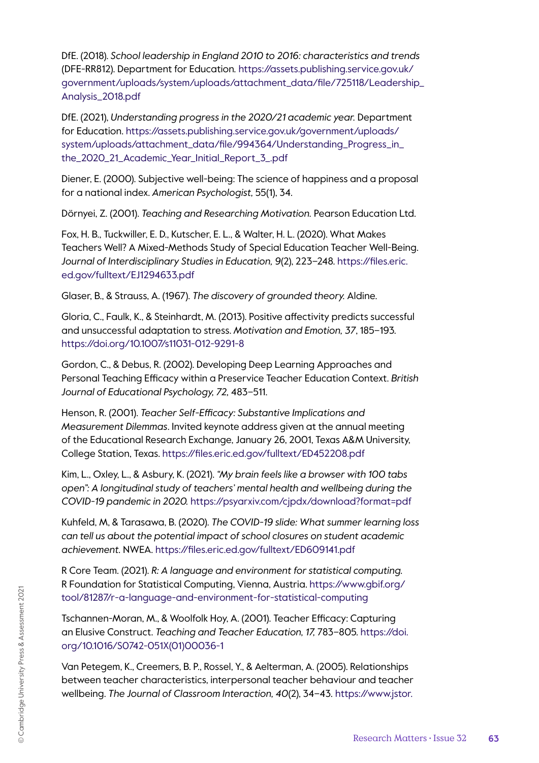DfE. (2018). *School leadership in England 2010 to 2016: characteristics and trends*  (DFE-RR812). Department for Education*.* https://assets.publishing.service.gov.uk/ government/uploads/system/uploads/attachment\_data/file/725118/Leadership\_ Analysis\_2018.pdf

DfE. (2021), *Understanding progress in the 2020/21 academic year.* Department for Education. https://assets.publishing.service.gov.uk/government/uploads/ system/uploads/attachment\_data/file/994364/Understanding\_Progress\_in\_ the\_2020\_21\_Academic\_Year\_Initial\_Report\_3\_.pdf

Diener, E. (2000). Subjective well-being: The science of happiness and a proposal for a national index. *American Psychologist,* 55(1), 34.

Dörnyei, Z. (2001). *Teaching and Researching Motivation.* Pearson Education Ltd.

Fox, H. B., Tuckwiller, E. D., Kutscher, E. L., & Walter, H. L. (2020). What Makes Teachers Well? A Mixed-Methods Study of Special Education Teacher Well-Being. *Journal of Interdisciplinary Studies in Education, 9*(2), 223–248. https://files.eric. ed.gov/fulltext/EJ1294633.pdf

Glaser, B., & Strauss, A. (1967). *The discovery of grounded theory.* Aldine.

Gloria, C., Faulk, K., & Steinhardt, M. (2013). Positive affectivity predicts successful and unsuccessful adaptation to stress. *Motivation and Emotion, 37*, 185–193. https://doi.org/10.1007/s11031-012-9291-8

Gordon, C., & Debus, R. (2002). Developing Deep Learning Approaches and Personal Teaching Efficacy within a Preservice Teacher Education Context. *British Journal of Educational Psychology, 72,* 483–511.

Henson, R. (2001). *Teacher Self-Efficacy: Substantive Implications and Measurement Dilemmas*. Invited keynote address given at the annual meeting of the Educational Research Exchange, January 26, 2001, Texas A&M University, College Station, Texas. https://files.eric.ed.gov/fulltext/ED452208.pdf

Kim, L., Oxley, L., & Asbury, K. (2021). *"My brain feels like a browser with 100 tabs open": A longitudinal study of teachers' mental health and wellbeing during the COVID-19 pandemic in 2020.* https://psyarxiv.com/cjpdx/download?format=pdf

Kuhfeld, M, & Tarasawa, B. (2020). *The COVID-19 slide: What summer learning loss can tell us about the potential impact of school closures on student academic achievement.* NWEA. https://files.eric.ed.gov/fulltext/ED609141.pdf

R Core Team. (2021). *R: A language and environment for statistical computing.*  R Foundation for Statistical Computing, Vienna, Austria. https://www.gbif.org/ tool/81287/r-a-language-and-environment-for-statistical-computing

Tschannen-Moran, M., & Woolfolk Hoy, A. (2001). Teacher Efficacy: Capturing an Elusive Construct. *Teaching and Teacher Education, 17,* 783–805. https://doi. org/10.1016/S0742-051X(01)00036-1

Van Petegem, K., Creemers, B. P., Rossel, Y., & Aelterman, A. (2005). Relationships between teacher characteristics, interpersonal teacher behaviour and teacher wellbeing. *The Journal of Classroom Interaction, 40*(2), 34–43*.* https://www.jstor.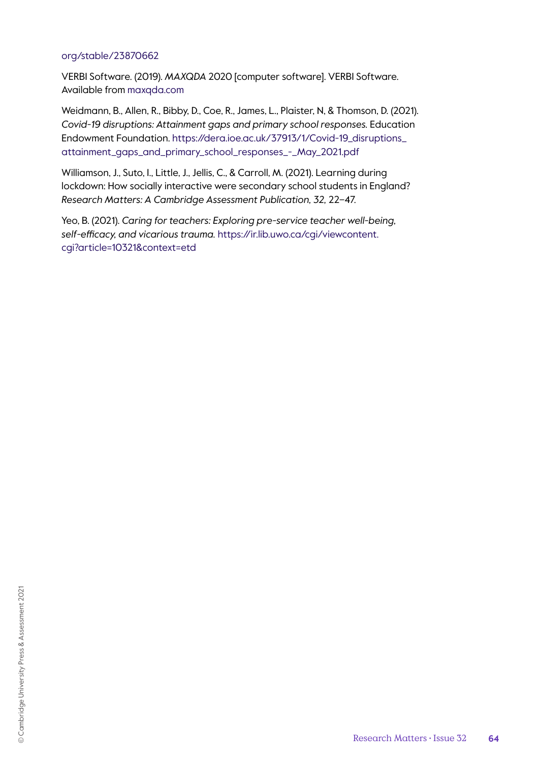#### org/stable/23870662

VERBI Software. (2019). *MAXQDA* 2020 [computer software]. VERBI Software. Available from maxqda.com

Weidmann, B., Allen, R., Bibby, D., Coe, R., James, L., Plaister, N, & Thomson, D. (2021). *Covid-19 disruptions: Attainment gaps and primary school responses.* Education Endowment Foundation. https://dera.ioe.ac.uk/37913/1/Covid-19\_disruptions\_ attainment\_gaps\_and\_primary\_school\_responses\_-\_May\_2021.pdf

Williamson, J., Suto, I., Little, J., Jellis, C., & Carroll, M. (2021). Learning during lockdown: How socially interactive were secondary school students in England? *Research Matters: A Cambridge Assessment Publication, 32,* 22–47.

Yeo, B. (2021). *Caring for teachers: Exploring pre-service teacher well-being, self-efficacy, and vicarious trauma.* https://ir.lib.uwo.ca/cgi/viewcontent. cgi?article=10321&context=etd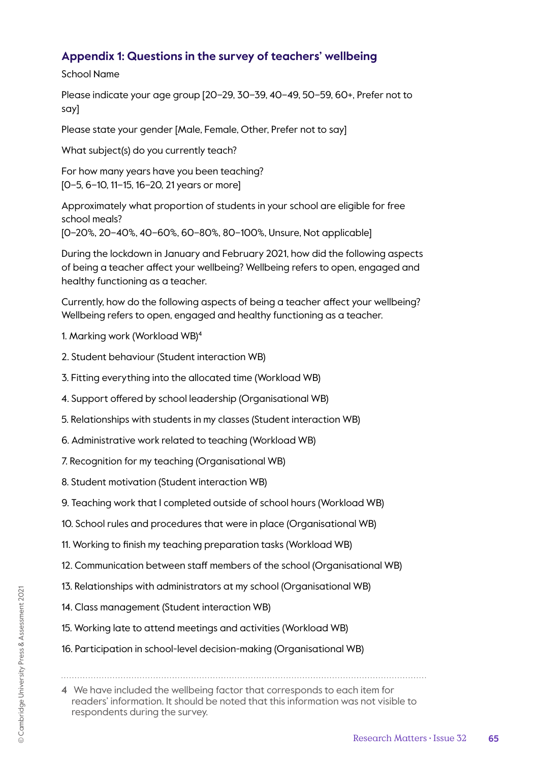# **Appendix 1: Questions in the survey of teachers' wellbeing**

School Name

Please indicate your age group [20–29, 30–39, 40–49, 50–59, 60+, Prefer not to say]

Please state your gender [Male, Female, Other, Prefer not to say]

What subject(s) do you currently teach?

For how many years have you been teaching? [0–5, 6–10, 11–15, 16–20, 21 years or more]

Approximately what proportion of students in your school are eligible for free school meals?

[0–20%, 20–40%, 40–60%, 60–80%, 80–100%, Unsure, Not applicable]

During the lockdown in January and February 2021, how did the following aspects of being a teacher affect your wellbeing? Wellbeing refers to open, engaged and healthy functioning as a teacher.

Currently, how do the following aspects of being a teacher affect your wellbeing? Wellbeing refers to open, engaged and healthy functioning as a teacher.

- 1. Marking work (Workload WB)4
- 2. Student behaviour (Student interaction WB)
- 3. Fitting everything into the allocated time (Workload WB)
- 4. Support offered by school leadership (Organisational WB)
- 5. Relationships with students in my classes (Student interaction WB)
- 6. Administrative work related to teaching (Workload WB)
- 7. Recognition for my teaching (Organisational WB)
- 8. Student motivation (Student interaction WB)
- 9. Teaching work that I completed outside of school hours (Workload WB)
- 10. School rules and procedures that were in place (Organisational WB)
- 11. Working to finish my teaching preparation tasks (Workload WB)
- 12. Communication between staff members of the school (Organisational WB)
- 13. Relationships with administrators at my school (Organisational WB)
- 14. Class management (Student interaction WB)
- 15. Working late to attend meetings and activities (Workload WB)
- 16. Participation in school-level decision-making (Organisational WB)

<sup>4</sup> We have included the wellbeing factor that corresponds to each item for readers' information. It should be noted that this information was not visible to respondents during the survey.